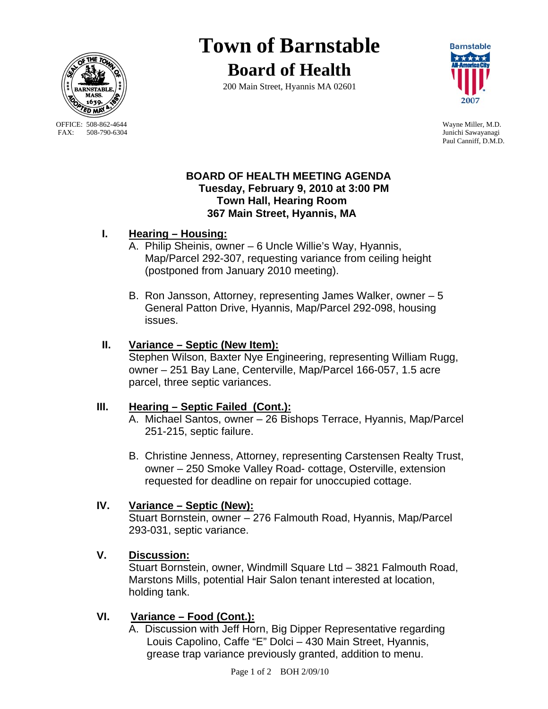

OFFICE: 508-862-4644 Wayne Miller, M.D.<br>
FAX: 508-790-6304 Junichi Sawavanagi

# **Town of Barnstable Board of Health**

200 Main Street, Hyannis MA 02601



Junichi Sawayanagi Paul Canniff, D.M.D.

**Barnstable** 

#### **BOARD OF HEALTH MEETING AGENDA Tuesday, February 9, 2010 at 3:00 PM Town Hall, Hearing Room 367 Main Street, Hyannis, MA**

## **I. Hearing – Housing:**

- A. Philip Sheinis, owner 6 Uncle Willie's Way, Hyannis, Map/Parcel 292-307, requesting variance from ceiling height (postponed from January 2010 meeting).
- B. Ron Jansson, Attorney, representing James Walker, owner 5 General Patton Drive, Hyannis, Map/Parcel 292-098, housing issues.

## **II. Variance – Septic (New Item):**

Stephen Wilson, Baxter Nye Engineering, representing William Rugg, owner – 251 Bay Lane, Centerville, Map/Parcel 166-057, 1.5 acre parcel, three septic variances.

## **III. Hearing – Septic Failed (Cont.):**

A. Michael Santos, owner – 26 Bishops Terrace, Hyannis, Map/Parcel 251-215, septic failure.

B. Christine Jenness, Attorney, representing Carstensen Realty Trust, owner – 250 Smoke Valley Road- cottage, Osterville, extension requested for deadline on repair for unoccupied cottage.

# **IV. Variance – Septic (New):**

Stuart Bornstein, owner – 276 Falmouth Road, Hyannis, Map/Parcel 293-031, septic variance.

# **V. Discussion:**

 Stuart Bornstein, owner, Windmill Square Ltd – 3821 Falmouth Road, Marstons Mills, potential Hair Salon tenant interested at location, holding tank.

# **VI. Variance – Food (Cont.):**

 A. Discussion with Jeff Horn, Big Dipper Representative regarding Louis Capolino, Caffe "E" Dolci – 430 Main Street, Hyannis, grease trap variance previously granted, addition to menu.